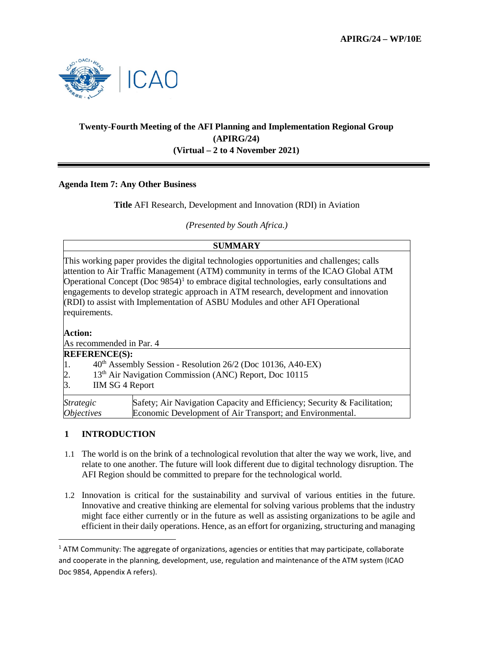

# **Twenty-Fourth Meeting of the AFI Planning and Implementation Regional Group (APIRG/24) (Virtual – 2 to 4 November 2021)**

### **Agenda Item 7: Any Other Business**

**Title** AFI Research, Development and Innovation (RDI) in Aviation

*(Presented by South Africa.)*

| SUMMARY                                                                                                                                                                                                                                                                                                                                                                                                                                                                               |                                                                                                                                       |
|---------------------------------------------------------------------------------------------------------------------------------------------------------------------------------------------------------------------------------------------------------------------------------------------------------------------------------------------------------------------------------------------------------------------------------------------------------------------------------------|---------------------------------------------------------------------------------------------------------------------------------------|
| This working paper provides the digital technologies opportunities and challenges; calls<br>attention to Air Traffic Management (ATM) community in terms of the ICAO Global ATM<br>Operational Concept (Doc $9854$ ) <sup>1</sup> to embrace digital technologies, early consultations and<br>engagements to develop strategic approach in ATM research, development and innovation<br>(RDI) to assist with Implementation of ASBU Modules and other AFI Operational<br>requirements. |                                                                                                                                       |
| <b>Action:</b>                                                                                                                                                                                                                                                                                                                                                                                                                                                                        |                                                                                                                                       |
| As recommended in Par. 4                                                                                                                                                                                                                                                                                                                                                                                                                                                              |                                                                                                                                       |
| <b>REFERENCE(S):</b>                                                                                                                                                                                                                                                                                                                                                                                                                                                                  |                                                                                                                                       |
| 40 <sup>th</sup> Assembly Session - Resolution 26/2 (Doc 10136, A40-EX)<br>П.                                                                                                                                                                                                                                                                                                                                                                                                         |                                                                                                                                       |
| 13 <sup>th</sup> Air Navigation Commission (ANC) Report, Doc 10115<br>2.                                                                                                                                                                                                                                                                                                                                                                                                              |                                                                                                                                       |
| 3.<br><b>IIM SG 4 Report</b>                                                                                                                                                                                                                                                                                                                                                                                                                                                          |                                                                                                                                       |
| <i>Strategic</i><br><i><b>Objectives</b></i>                                                                                                                                                                                                                                                                                                                                                                                                                                          | Safety; Air Navigation Capacity and Efficiency; Security & Facilitation;<br>Economic Development of Air Transport; and Environmental. |

### **1 INTRODUCTION**

- 1.1 The world is on the brink of a technological revolution that alter the way we work, live, and relate to one another. The future will look different due to digital technology disruption. The AFI Region should be committed to prepare for the technological world.
- 1.2 Innovation is critical for the sustainability and survival of various entities in the future. Innovative and creative thinking are elemental for solving various problems that the industry might face either currently or in the future as well as assisting organizations to be agile and efficient in their daily operations. Hence, as an effort for organizing, structuring and managing

<span id="page-0-0"></span> $1$  ATM Community: The aggregate of organizations, agencies or entities that may participate, collaborate and cooperate in the planning, development, use, regulation and maintenance of the ATM system (ICAO Doc 9854, Appendix A refers).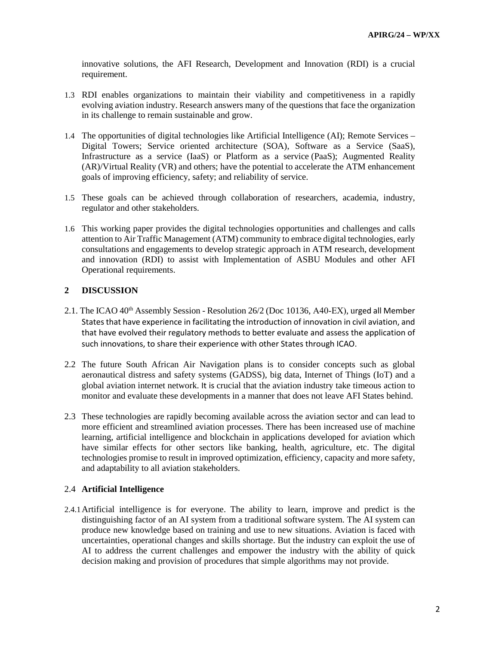innovative solutions, the AFI Research, Development and Innovation (RDI) is a crucial requirement.

- 1.3 RDI enables organizations to maintain their viability and competitiveness in a rapidly evolving aviation industry. Research answers many of the questions that face the organization in its challenge to remain sustainable and grow.
- 1.4 The opportunities of digital technologies like Artificial Intelligence (AI); Remote Services Digital Towers; Service oriented architecture (SOA), Software as a Service (SaaS), Infrastructure as a service (IaaS) or Platform as a service (PaaS); Augmented Reality (AR)/Virtual Reality (VR) and others; have the potential to accelerate the ATM enhancement goals of improving efficiency, safety; and reliability of service.
- 1.5 These goals can be achieved through collaboration of researchers, academia, industry, regulator and other stakeholders.
- 1.6 This working paper provides the digital technologies opportunities and challenges and calls attention to Air Traffic Management (ATM) community to embrace digital technologies, early consultations and engagements to develop strategic approach in ATM research, development and innovation (RDI) to assist with Implementation of ASBU Modules and other AFI Operational requirements.

### **2 DISCUSSION**

- 2.1. The ICAO 40<sup>th</sup> Assembly Session Resolution 26/2 (Doc 10136, A40-EX), urged all Member States that have experience in facilitating the introduction of innovation in civil aviation, and that have evolved their regulatory methods to better evaluate and assess the application of such innovations, to share their experience with other States through ICAO.
- 2.2 The future South African Air Navigation plans is to consider concepts such as global aeronautical distress and safety systems (GADSS), big data, Internet of Things (IoT) and a global aviation internet network. It is crucial that the aviation industry take timeous action to monitor and evaluate these developments in a manner that does not leave AFI States behind.
- 2.3 These technologies are rapidly becoming available across the aviation sector and can lead to more efficient and streamlined aviation processes. There has been increased use of machine learning, artificial intelligence and blockchain in applications developed for aviation which have similar effects for other sectors like banking, health, agriculture, etc. The digital technologies promise to result in improved optimization, efficiency, capacity and more safety, and adaptability to all aviation stakeholders.

#### 2.4 **Artificial Intelligence**

2.4.1Artificial intelligence is for everyone. The ability to learn, improve and predict is the distinguishing factor of an AI system from a traditional software system. The AI system can produce new knowledge based on training and use to new situations. Aviation is faced with uncertainties, operational changes and skills shortage. But the industry can exploit the use of AI to address the current challenges and empower the industry with the ability of quick decision making and provision of procedures that simple algorithms may not provide.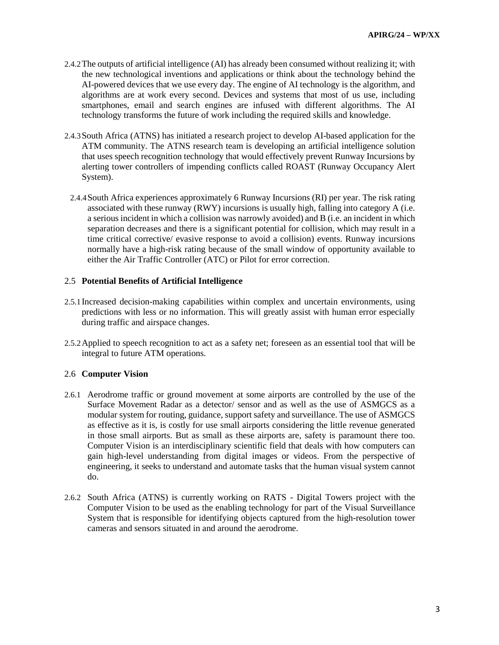- 2.4.2The outputs of artificial intelligence (AI) has already been consumed without realizing it; with the new technological inventions and applications or think about the technology behind the AI-powered devices that we use every day. The engine of AI technology is the algorithm, and algorithms are at work every second. Devices and systems that most of us use, including smartphones, email and search engines are infused with different algorithms. The AI technology transforms the future of work including the required skills and knowledge.
- 2.4.3South Africa (ATNS) has initiated a research project to develop AI-based application for the ATM community. The ATNS research team is developing an artificial intelligence solution that uses speech recognition technology that would effectively prevent Runway Incursions by alerting tower controllers of impending conflicts called ROAST (Runway Occupancy Alert System).
	- 2.4.4South Africa experiences approximately 6 Runway Incursions (RI) per year. The risk rating associated with these runway (RWY) incursions is usually high, falling into category A (i.e. a serious incident in which a collision was narrowly avoided) and B (i.e. an incident in which separation decreases and there is a significant potential for collision, which may result in a time critical corrective/ evasive response to avoid a collision) events. Runway incursions normally have a high-risk rating because of the small window of opportunity available to either the Air Traffic Controller (ATC) or Pilot for error correction.

#### 2.5 **Potential Benefits of Artificial Intelligence**

- 2.5.1Increased decision-making capabilities within complex and uncertain environments, using predictions with less or no information. This will greatly assist with human error especially during traffic and airspace changes.
- 2.5.2Applied to speech recognition to act as a safety net; foreseen as an essential tool that will be integral to future ATM operations.

#### 2.6 **Computer Vision**

- 2.6.1 Aerodrome traffic or ground movement at some airports are controlled by the use of the Surface Movement Radar as a detector/ sensor and as well as the use of ASMGCS as a modular system for routing, guidance, support safety and surveillance. The use of ASMGCS as effective as it is, is costly for use small airports considering the little revenue generated in those small airports. But as small as these airports are, safety is paramount there too. Computer Vision is an interdisciplinary scientific field that deals with how computers can gain high-level understanding from digital images or videos. From the perspective of engineering, it seeks to understand and automate tasks that the human visual system cannot do.
- 2.6.2 South Africa (ATNS) is currently working on RATS Digital Towers project with the Computer Vision to be used as the enabling technology for part of the Visual Surveillance System that is responsible for identifying objects captured from the high-resolution tower cameras and sensors situated in and around the aerodrome.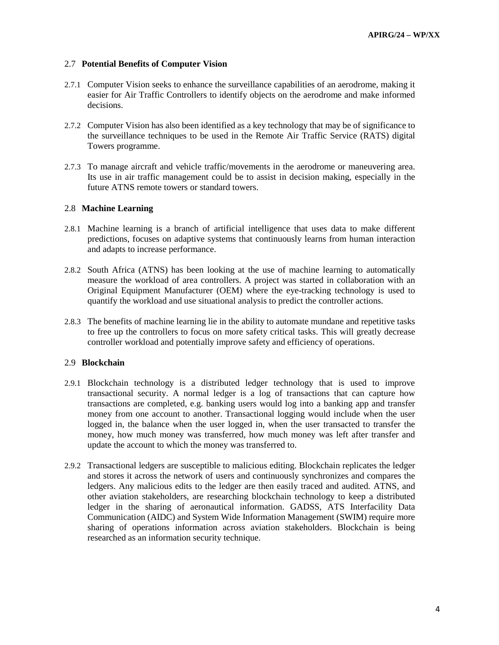#### 2.7 **Potential Benefits of Computer Vision**

- 2.7.1 Computer Vision seeks to enhance the surveillance capabilities of an aerodrome, making it easier for Air Traffic Controllers to identify objects on the aerodrome and make informed decisions.
- 2.7.2 Computer Vision has also been identified as a key technology that may be of significance to the surveillance techniques to be used in the Remote Air Traffic Service (RATS) digital Towers programme.
- 2.7.3 To manage aircraft and vehicle traffic/movements in the aerodrome or maneuvering area. Its use in air traffic management could be to assist in decision making, especially in the future ATNS remote towers or standard towers.

#### 2.8 **Machine Learning**

- 2.8.1 Machine learning is a branch of artificial intelligence that uses data to make different predictions, focuses on adaptive systems that continuously learns from human interaction and adapts to increase performance.
- 2.8.2 South Africa (ATNS) has been looking at the use of machine learning to automatically measure the workload of area controllers. A project was started in collaboration with an Original Equipment Manufacturer (OEM) where the eye-tracking technology is used to quantify the workload and use situational analysis to predict the controller actions.
- 2.8.3 The benefits of machine learning lie in the ability to automate mundane and repetitive tasks to free up the controllers to focus on more safety critical tasks. This will greatly decrease controller workload and potentially improve safety and efficiency of operations.

### 2.9 **Blockchain**

- 2.9.1 Blockchain technology is a distributed ledger technology that is used to improve transactional security. A normal ledger is a log of transactions that can capture how transactions are completed, e.g. banking users would log into a banking app and transfer money from one account to another. Transactional logging would include when the user logged in, the balance when the user logged in, when the user transacted to transfer the money, how much money was transferred, how much money was left after transfer and update the account to which the money was transferred to.
- 2.9.2 Transactional ledgers are susceptible to malicious editing. Blockchain replicates the ledger and stores it across the network of users and continuously synchronizes and compares the ledgers. Any malicious edits to the ledger are then easily traced and audited. ATNS, and other aviation stakeholders, are researching blockchain technology to keep a distributed ledger in the sharing of aeronautical information. GADSS, ATS Interfacility Data Communication (AIDC) and System Wide Information Management (SWIM) require more sharing of operations information across aviation stakeholders. Blockchain is being researched as an information security technique.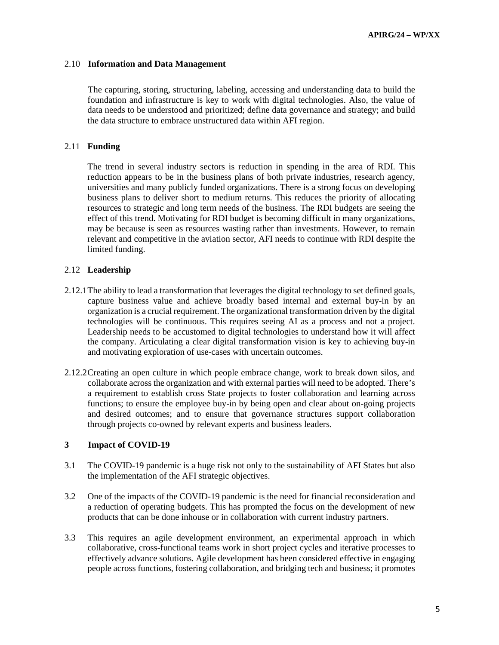### 2.10 **Information and Data Management**

The capturing, storing, structuring, labeling, accessing and understanding data to build the foundation and infrastructure is key to work with digital technologies. Also, the value of data needs to be understood and prioritized; define data governance and strategy; and build the data structure to embrace unstructured data within AFI region.

### 2.11 **Funding**

The trend in several industry sectors is reduction in spending in the area of RDI. This reduction appears to be in the business plans of both private industries, research agency, universities and many publicly funded organizations. There is a strong focus on developing business plans to deliver short to medium returns. This reduces the priority of allocating resources to strategic and long term needs of the business. The RDI budgets are seeing the effect of this trend. Motivating for RDI budget is becoming difficult in many organizations, may be because is seen as resources wasting rather than investments. However, to remain relevant and competitive in the aviation sector, AFI needs to continue with RDI despite the limited funding.

### 2.12 **Leadership**

- 2.12.1The ability to lead a transformation that leverages the digital technology to set defined goals, capture business value and achieve broadly based internal and external buy-in by an organization is a crucial requirement. The organizational transformation driven by the digital technologies will be continuous. This requires seeing AI as a process and not a project. Leadership needs to be accustomed to digital technologies to understand how it will affect the company. Articulating a clear digital transformation vision is key to achieving buy-in and motivating exploration of use-cases with uncertain outcomes.
- 2.12.2Creating an open culture in which people embrace change, work to break down silos, and collaborate across the organization and with external parties will need to be adopted. There's a requirement to establish cross State projects to foster collaboration and learning across functions; to ensure the employee buy-in by being open and clear about on-going projects and desired outcomes; and to ensure that governance structures support collaboration through projects co-owned by relevant experts and business leaders.

### **3 Impact of COVID-19**

- 3.1 The COVID-19 pandemic is a huge risk not only to the sustainability of AFI States but also the implementation of the AFI strategic objectives.
- 3.2 One of the impacts of the COVID-19 pandemic is the need for financial reconsideration and a reduction of operating budgets. This has prompted the focus on the development of new products that can be done inhouse or in collaboration with current industry partners.
- 3.3 This requires an agile development environment, an experimental approach in which collaborative, cross-functional teams work in short project cycles and iterative processes to effectively advance solutions. Agile development has been considered effective in engaging people across functions, fostering collaboration, and bridging tech and business; it promotes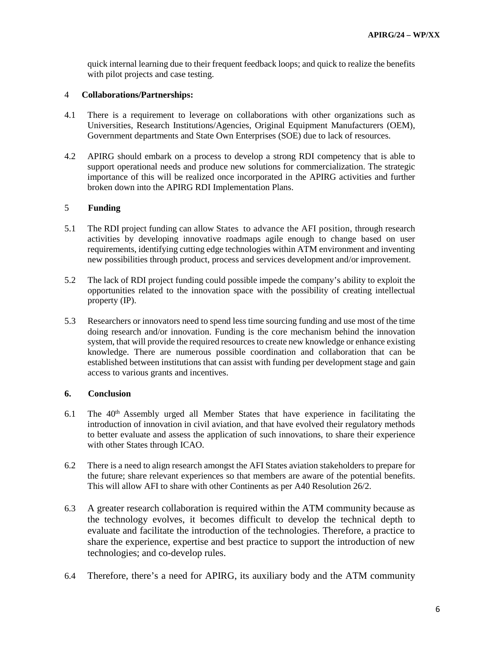quick internal learning due to their frequent feedback loops; and quick to realize the benefits with pilot projects and case testing.

#### 4 **Collaborations/Partnerships:**

- 4.1 There is a requirement to leverage on collaborations with other organizations such as Universities, Research Institutions/Agencies, Original Equipment Manufacturers (OEM), Government departments and State Own Enterprises (SOE) due to lack of resources.
- 4.2 APIRG should embark on a process to develop a strong RDI competency that is able to support operational needs and produce new solutions for commercialization. The strategic importance of this will be realized once incorporated in the APIRG activities and further broken down into the APIRG RDI Implementation Plans.

## 5 **Funding**

- 5.1 The RDI project funding can allow States to advance the AFI position, through research activities by developing innovative roadmaps agile enough to change based on user requirements, identifying cutting edge technologies within ATM environment and inventing new possibilities through product, process and services development and/or improvement.
- 5.2 The lack of RDI project funding could possible impede the company's ability to exploit the opportunities related to the innovation space with the possibility of creating intellectual property (IP).
- 5.3 Researchers or innovators need to spend less time sourcing funding and use most of the time doing research and/or innovation. Funding is the core mechanism behind the innovation system, that will provide the required resources to create new knowledge or enhance existing knowledge. There are numerous possible [coordination and collaboration](http://doi.org/10.1056/NEJMsb071774) that can be established between institutions that can assist with funding per development stage and gain access to various grants and incentives.

#### **6. Conclusion**

- $6.1$  The  $40<sup>th</sup>$  Assembly urged all Member States that have experience in facilitating the introduction of innovation in civil aviation, and that have evolved their regulatory methods to better evaluate and assess the application of such innovations, to share their experience with other States through ICAO.
- 6.2 There is a need to align research amongst the AFI States aviation stakeholders to prepare for the future; share relevant experiences so that members are aware of the potential benefits. This will allow AFI to share with other Continents as per A40 Resolution 26/2.
- 6.3 A greater research collaboration is required within the ATM community because as the technology evolves, it becomes difficult to develop the technical depth to evaluate and facilitate the introduction of the technologies. Therefore, a practice to share the experience, expertise and best practice to support the introduction of new technologies; and co-develop rules.
- 6.4 Therefore, there's a need for APIRG, its auxiliary body and the ATM community